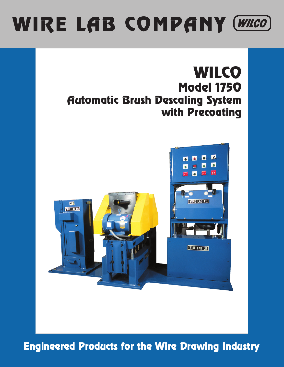# WIRE LAB COMPANY (WILCO)

## **WILCO** Model 1750 Automatic Brush Descaling System with Precoating



Engineered Products for the Wire Drawing Industry